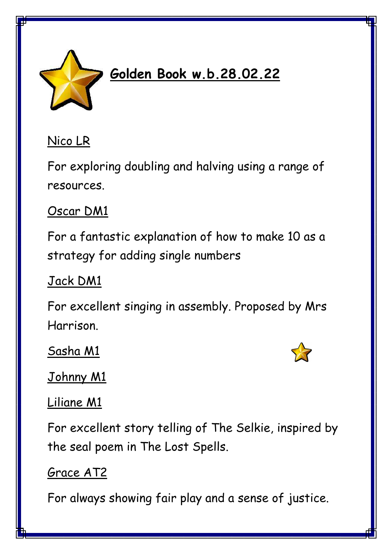

# **Golden Book w.b.28.02.22**

### Nico LR

For exploring doubling and halving using a range of resources.

## Oscar DM1

For a fantastic explanation of how to make 10 as a strategy for adding single numbers

# Jack DM1

For excellent singing in assembly. Proposed by Mrs Harrison.

Sasha M1



Johnny M1

#### Liliane M1

For excellent story telling of The Selkie, inspired by the seal poem in The Lost Spells.

# Grace AT2

For always showing fair play and a sense of justice.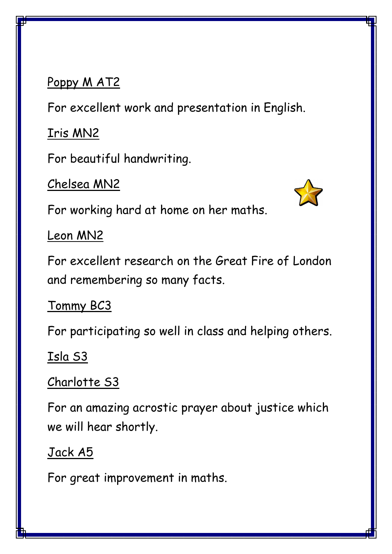#### Poppy M AT2

For excellent work and presentation in English.

Iris MN2

For beautiful handwriting.

Chelsea MN2

For working hard at home on her maths.

Leon MN2

For excellent research on the Great Fire of London and remembering so many facts.

Tommy BC3

For participating so well in class and helping others.

#### Isla S3

#### Charlotte S3

For an amazing acrostic prayer about justice which we will hear shortly.

#### Jack A5

For great improvement in maths.